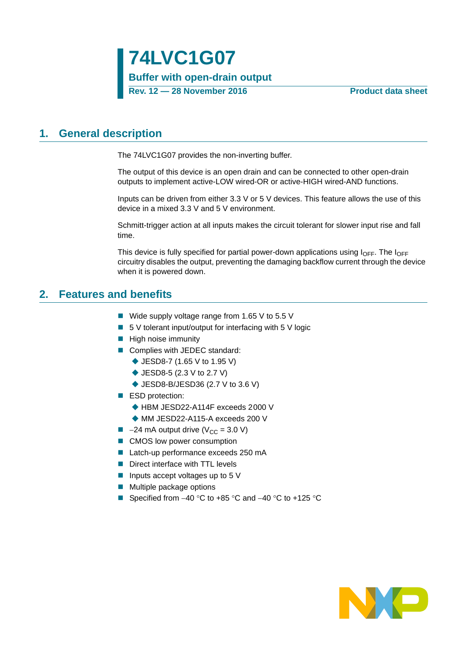### <span id="page-0-0"></span>**1. General description**

The 74LVC1G07 provides the non-inverting buffer.

The output of this device is an open drain and can be connected to other open-drain outputs to implement active-LOW wired-OR or active-HIGH wired-AND functions.

Inputs can be driven from either 3.3 V or 5 V devices. This feature allows the use of this device in a mixed 3.3 V and 5 V environment.

Schmitt-trigger action at all inputs makes the circuit tolerant for slower input rise and fall time.

This device is fully specified for partial power-down applications using  $I_{\text{OFF}}$ . The  $I_{\text{OFF}}$ circuitry disables the output, preventing the damaging backflow current through the device when it is powered down.

### <span id="page-0-1"></span>**2. Features and benefits**

- Wide supply voltage range from 1.65 V to 5.5 V
- $\blacksquare$  5 V tolerant input/output for interfacing with 5 V logic
- $\blacksquare$  High noise immunity
- Complies with JEDEC standard:
	- ◆ JESD8-7 (1.65 V to 1.95 V)
	- ◆ JESD8-5 (2.3 V to 2.7 V)
	- ◆ JESD8-B/JESD36 (2.7 V to 3.6 V)
- ESD protection:
	- ◆ HBM JESD22-A114F exceeds 2000 V
	- ◆ MM JESD22-A115-A exceeds 200 V
- $\blacksquare$  -24 mA output drive (V<sub>CC</sub> = 3.0 V)
- CMOS low power consumption
- Latch-up performance exceeds 250 mA
- Direct interface with TTL levels
- Inputs accept voltages up to  $5V$
- **Multiple package options**
- Specified from  $-40$  °C to  $+85$  °C and  $-40$  °C to  $+125$  °C

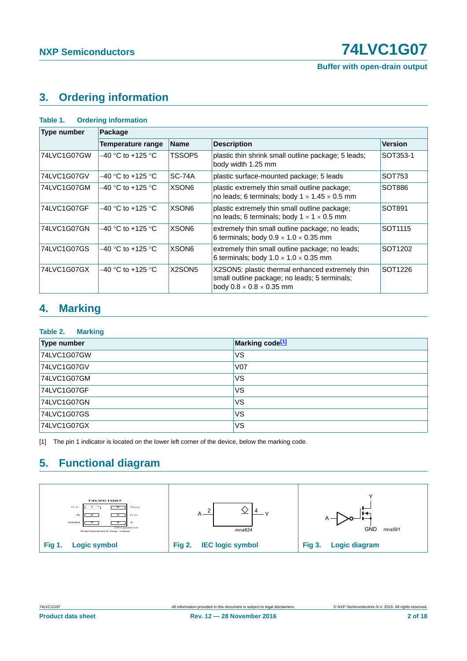**Buffer with open-drain output**

# <span id="page-1-1"></span>**3. Ordering information**

| <b>Ordering information</b><br>Table 1. |                          |                                 |                                                                                                                                          |                     |  |  |  |  |  |
|-----------------------------------------|--------------------------|---------------------------------|------------------------------------------------------------------------------------------------------------------------------------------|---------------------|--|--|--|--|--|
| <b>Type number</b>                      | Package                  |                                 |                                                                                                                                          |                     |  |  |  |  |  |
|                                         | <b>Temperature range</b> | <b>Name</b>                     | <b>Description</b>                                                                                                                       | <b>Version</b>      |  |  |  |  |  |
| 74LVC1G07GW                             | $-40$ °C to +125 °C      | TSSOP5                          | plastic thin shrink small outline package; 5 leads;<br>body width 1.25 mm                                                                | SOT353-1            |  |  |  |  |  |
| 74LVC1G07GV                             | $-40$ °C to +125 °C.     | $SC-74A$                        | plastic surface-mounted package; 5 leads                                                                                                 | SOT753              |  |  |  |  |  |
| 74LVC1G07GM                             | $-40$ °C to +125 °C.     | XSON <sub>6</sub>               | plastic extremely thin small outline package;<br>no leads; 6 terminals; body $1 \times 1.45 \times 0.5$ mm                               | SOT886              |  |  |  |  |  |
| 74LVC1G07GF                             | $-40$ °C to +125 °C.     | XSON <sub>6</sub>               | plastic extremely thin small outline package;<br>no leads; 6 terminals; body $1 \times 1 \times 0.5$ mm                                  | SOT891              |  |  |  |  |  |
| 74LVC1G07GN                             | $-40$ °C to +125 °C.     | XSON <sub>6</sub>               | extremely thin small outline package; no leads;<br>6 terminals; body $0.9 \times 1.0 \times 0.35$ mm                                     | SOT <sub>1115</sub> |  |  |  |  |  |
| 74LVC1G07GS                             | $-40$ °C to +125 °C      | XSON <sub>6</sub>               | extremely thin small outline package; no leads;<br>6 terminals; body $1.0 \times 1.0 \times 0.35$ mm                                     | SOT <sub>1202</sub> |  |  |  |  |  |
| 74LVC1G07GX                             | $-40$ °C to +125 °C.     | X <sub>2</sub> SON <sub>5</sub> | X2SON5: plastic thermal enhanced extremely thin<br>small outline package; no leads; 5 terminals;<br>body $0.8 \times 0.8 \times 0.35$ mm | SOT1226             |  |  |  |  |  |

### <span id="page-1-2"></span>**4. Marking**

#### **Table 2. Marking**

| <b>Type number</b> | Marking code <sup>[1]</sup> |
|--------------------|-----------------------------|
| 74LVC1G07GW        | VS                          |
| 74LVC1G07GV        | <b>V07</b>                  |
| 74LVC1G07GM        | <b>VS</b>                   |
| 74LVC1G07GF        | VS                          |
| 74LVC1G07GN        | VS                          |
| 74LVC1G07GS        | VS                          |
| 74LVC1G07GX        | VS                          |

<span id="page-1-0"></span>[1] The pin 1 indicator is located on the lower left corner of the device, below the marking code.

# <span id="page-1-3"></span>**5. Functional diagram**

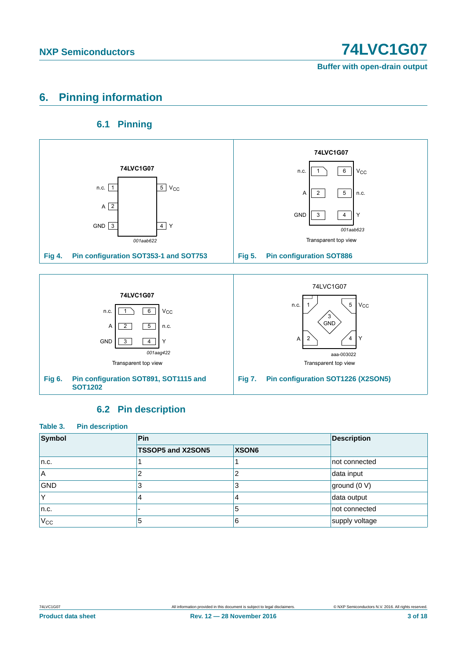**Buffer with open-drain output**

# <span id="page-2-0"></span>**6. Pinning information**

### **6.1 Pinning**

<span id="page-2-1"></span>

### **6.2 Pin description**

<span id="page-2-2"></span>

| Table 3.<br><b>Pin description</b> |                   |       |                    |
|------------------------------------|-------------------|-------|--------------------|
| Symbol                             | Pin               |       | <b>Description</b> |
|                                    | TSSOP5 and X2SON5 | XSON6 |                    |
| n.c.                               |                   |       | not connected      |
| <b>A</b>                           | 2                 |       | data input         |
| <b>GND</b>                         | 3                 | 3     | ground (0 V)       |
|                                    | 4                 | 4     | data output        |
| n.c.                               |                   | 5     | not connected      |
| $V_{CC}$                           | 5                 | 6     | supply voltage     |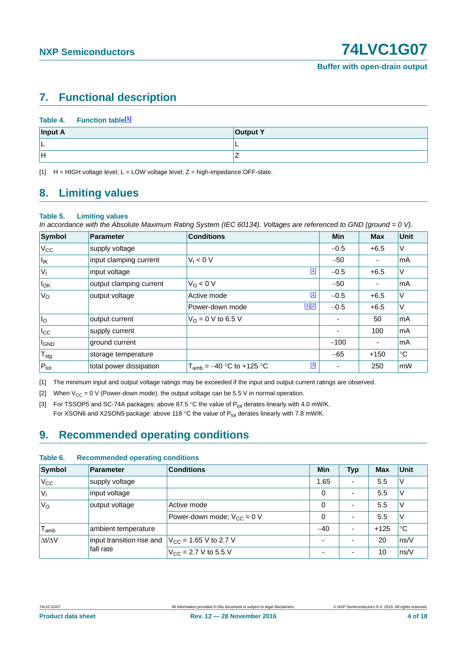# <span id="page-3-4"></span>**7. Functional description**

|         | Table 4. Function table <sup>[1]</sup> |                 |  |
|---------|----------------------------------------|-----------------|--|
| Input A |                                        | <b>Output Y</b> |  |
|         |                                        |                 |  |
| lн      |                                        |                 |  |

<span id="page-3-0"></span>[1]  $H = HIGH$  voltage level; L = LOW voltage level; Z = high-impedance OFF-state.

### <span id="page-3-5"></span>**8. Limiting values**

#### **Table 5. Limiting values**

*In accordance with the Absolute Maximum Rating System (IEC 60134). Voltages are referenced to GND (ground = 0 V).*

| Symbol            | <b>Parameter</b>        | <b>Conditions</b>                      | <b>Min</b> | <b>Max</b> | Unit        |
|-------------------|-------------------------|----------------------------------------|------------|------------|-------------|
| $V_{\rm CC}$      | supply voltage          |                                        | $-0.5$     | $+6.5$     | V           |
| $I_{\mathsf{IK}}$ | input clamping current  | $V_1 < 0 V$                            | $-50$      |            | mA          |
| $V_{1}$           | input voltage           | $\boxed{1}$                            | $-0.5$     | $+6.5$     | V           |
| $I_{OK}$          | output clamping current | $V_O < 0$ V                            | $-50$      |            | mA          |
| $V_{\rm O}$       | output voltage          | $[1]$<br>Active mode                   | $-0.5$     | $+6.5$     | V           |
|                   |                         | $[1][2]$<br>Power-down mode            | $-0.5$     | $+6.5$     | V           |
| I <sub>o</sub>    | output current          | $V_{\Omega} = 0$ V to 6.5 V            |            | 50         | mA          |
| $I_{\rm CC}$      | supply current          |                                        |            | 100        | mA          |
| <b>I</b> GND      | ground current          |                                        | $-100$     | ٠          | mA          |
| $T_{\text{stg}}$  | storage temperature     |                                        | $-65$      | $+150$     | $^{\circ}C$ |
| $P_{\text{tot}}$  | total power dissipation | $[3]$<br>$T_{amb} = -40$ °C to +125 °C | ۰          | 250        | <b>mW</b>   |

<span id="page-3-1"></span>[1] The minimum input and output voltage ratings may be exceeded if the input and output current ratings are observed.

<span id="page-3-2"></span>[2] When  $V_{CC} = 0$  V (Power-down mode), the output voltage can be 5.5 V in normal operation.

<span id="page-3-3"></span>[3] For TSSOP5 and SC-74A packages: above 87.5 °C the value of  $P_{tot}$  derates linearly with 4.0 mW/K. For XSON6 and X2SON5 package: above 118 °C the value of  $P_{tot}$  derates linearly with 7.8 mW/K.

### <span id="page-3-6"></span>**9. Recommended operating conditions**

| Symbol                      | <b>Parameter</b>                       | <b>Conditions</b>                 | Min   | <b>Typ</b>               | <b>Max</b> | Unit        |  |
|-----------------------------|----------------------------------------|-----------------------------------|-------|--------------------------|------------|-------------|--|
| $V_{\rm CC}$                | supply voltage                         |                                   | 1.65  | ٠                        | 5.5        | v           |  |
| V                           | input voltage                          |                                   | 0     | $\overline{\phantom{a}}$ | 5.5        | V           |  |
| V <sub>o</sub>              | output voltage                         | Active mode                       | 0     | $\overline{\phantom{a}}$ | 5.5        | V           |  |
|                             |                                        | Power-down mode: $V_{CC} = 0$ V   | 0     | $\overline{\phantom{a}}$ | 5.5        | V           |  |
| $\mathsf{T}_{\mathsf{amb}}$ | ambient temperature                    |                                   | $-40$ | $\overline{\phantom{a}}$ | $+125$     | $^{\circ}C$ |  |
| $\Delta t/\Delta V$         | input transition rise and<br>fall rate | $V_{\text{CC}}$ = 1.65 V to 2.7 V |       | $\overline{\phantom{a}}$ | 20         | ns/V        |  |
|                             |                                        | $V_{CC}$ = 2.7 V to 5.5 V         | ۰     | $\overline{\phantom{a}}$ | 10         | ns/V        |  |

#### **Table 6. Recommended operating conditions**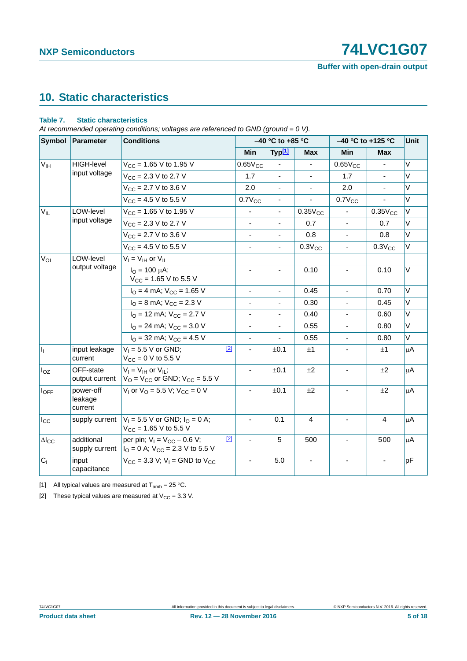# **NXP Semiconductors 12021 12031 1204 1205 1206 1207**

**Buffer with open-drain output**

# <span id="page-4-3"></span>**10. Static characteristics**

#### <span id="page-4-2"></span>**Table 7. Static characteristics**

*At recommended operating conditions; voltages are referenced to GND (ground = 0 V).*

|                        | Symbol Parameter<br><b>Conditions</b> |                                                                                 |       |                          | $-40$ °C to +85 °C       |                | $-40$ °C to +125 °C      |                | Unit    |
|------------------------|---------------------------------------|---------------------------------------------------------------------------------|-------|--------------------------|--------------------------|----------------|--------------------------|----------------|---------|
|                        |                                       |                                                                                 |       | Min                      | Typ <sup>[1]</sup>       | <b>Max</b>     | Min                      | <b>Max</b>     |         |
| V <sub>IH</sub>        | <b>HIGH-level</b>                     | $V_{CC}$ = 1.65 V to 1.95 V                                                     |       | $0.65V_{CC}$             | $\blacksquare$           | $\blacksquare$ | $0.65V_{CC}$             | $\blacksquare$ | V       |
|                        | input voltage                         | $V_{\text{CC}} = 2.3 \text{ V}$ to 2.7 V                                        |       | 1.7                      |                          |                | 1.7                      |                | $\vee$  |
|                        |                                       | $V_{CC}$ = 2.7 V to 3.6 V                                                       |       | 2.0                      |                          |                | 2.0                      |                | V       |
|                        |                                       | $V_{\text{CC}} = 4.5 \text{ V}$ to 5.5 V                                        |       | $0.7V_{CC}$              | ۰                        |                | $0.7V_{CC}$              |                | V       |
| $V_{IL}$               | LOW-level                             | $V_{CC}$ = 1.65 V to 1.95 V                                                     |       | $\blacksquare$           | $\blacksquare$           | $0.35V_{CC}$   |                          | $0.35V_{CC}$   | V       |
|                        | input voltage                         | $V_{\text{CC}} = 2.3 \text{ V}$ to 2.7 V                                        |       | $\blacksquare$           | $\overline{\phantom{a}}$ | 0.7            | $\overline{\phantom{a}}$ | 0.7            | V       |
|                        |                                       | $V_{\text{CC}} = 2.7 \text{ V}$ to 3.6 V                                        |       |                          |                          | 0.8            |                          | 0.8            | $\vee$  |
|                        |                                       | $V_{CC} = 4.5 V$ to 5.5 V                                                       |       | $\overline{\phantom{a}}$ | $\overline{\phantom{a}}$ | $0.3V_{CC}$    | $\blacksquare$           | $0.3V_{CC}$    | $\vee$  |
| $V_{OL}$               | LOW-level                             | $V_I = V_{IH}$ or $V_{IL}$                                                      |       |                          |                          |                |                          |                |         |
|                        | output voltage                        | $I_{\Omega} = 100 \mu A;$<br>$V_{CC}$ = 1.65 V to 5.5 V                         |       |                          | ä,                       | 0.10           | $\blacksquare$           | 0.10           | $\vee$  |
|                        |                                       | $IO = 4 mA$ ; $VCC = 1.65 V$                                                    |       | $\overline{\phantom{a}}$ | $\overline{\phantom{a}}$ | 0.45           | $\blacksquare$           | 0.70           | $\vee$  |
|                        |                                       | $I_{\rm O}$ = 8 mA; $V_{\rm CC}$ = 2.3 V                                        |       |                          |                          | 0.30           | $\blacksquare$           | 0.45           | $\vee$  |
|                        |                                       | $IO$ = 12 mA; $VCC$ = 2.7 V                                                     |       | $\overline{\phantom{a}}$ | $\overline{\phantom{a}}$ | 0.40           | $\blacksquare$           | 0.60           | V       |
|                        |                                       | $I_{\text{O}}$ = 24 mA; $V_{\text{CC}}$ = 3.0 V                                 |       |                          | $\overline{\phantom{a}}$ | 0.55           |                          | 0.80           | $\vee$  |
|                        |                                       | $IO$ = 32 mA; $VCC$ = 4.5 V                                                     |       | $\blacksquare$           |                          | 0.55           | $\blacksquare$           | 0.80           | V       |
| h,                     | input leakage<br>current              | $V_1 = 5.5 V$ or GND;<br>$V_{CC} = 0 V$ to 5.5 V                                | $[2]$ |                          | ±0.1                     | ±1             |                          | ±1             | $\mu$ A |
| $I_{OZ}$               | OFF-state<br>output current           | $V_I = V_{IH}$ or $V_{IL}$ ;<br>$VO$ = $VCC$ or GND; $VCC$ = 5.5 V              |       | ä,                       | ±0.1                     | ±2             | $\blacksquare$           | ±2             | $\mu$ A |
| $I_{OFF}$              | power-off<br>leakage<br>current       | $V_1$ or $V_0$ = 5.5 V; $V_{CC}$ = 0 V                                          |       |                          | ±0.1                     | ±2             |                          | ±2             | μA      |
| $I_{\rm CC}$           | supply current                        | $V_1 = 5.5$ V or GND; $I_0 = 0$ A;<br>$V_{\text{CC}} = 1.65 \text{ V}$ to 5.5 V |       |                          | 0.1                      | 4              | $\blacksquare$           | $\overline{4}$ | $\mu$ A |
| $\Delta I_{\text{CC}}$ | additional<br>supply current          | per pin; $V_1 = V_{CC} - 0.6 V$ ;<br>$IO = 0$ A; $VCC = 2.3$ V to 5.5 V         | $[2]$ |                          | $\overline{5}$           | 500            |                          | 500            | $\mu$ A |
| C <sub>1</sub>         | input<br>capacitance                  | $V_{CC}$ = 3.3 V; V <sub>1</sub> = GND to V <sub>CC</sub>                       |       |                          | 5.0                      |                |                          |                | pF      |

<span id="page-4-0"></span>[1] All typical values are measured at  $T_{amb} = 25 \degree C$ .

<span id="page-4-1"></span>[2] These typical values are measured at  $V_{CC} = 3.3$  V.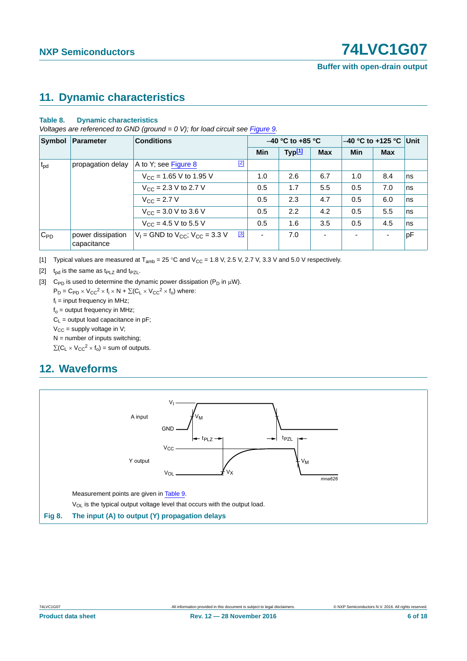## <span id="page-5-4"></span>**11. Dynamic characteristics**

#### **Table 8. Dynamic characteristics**

*Voltages are referenced to GND (ground = 0 V); for load circuit see [Figure 9.](#page-6-0)* 

| Symbol       | Parameter<br><b>Conditions</b>   |                                                   | $-40$ °C to +85 °C |                    |                | $-40$ °C to +125 °C Unit |                          |    |
|--------------|----------------------------------|---------------------------------------------------|--------------------|--------------------|----------------|--------------------------|--------------------------|----|
|              |                                  |                                                   | <b>Min</b>         | Typ <sup>[1]</sup> | <b>Max</b>     | <b>Min</b>               | <b>Max</b>               |    |
| $t_{\rm pd}$ | propagation delay                | $[2]$<br>A to Y; see Figure 8                     |                    |                    |                |                          |                          |    |
|              |                                  | $V_{\text{CC}}$ = 1.65 V to 1.95 V                | 1.0                | 2.6                | 6.7            | 1.0                      | 8.4                      | ns |
|              |                                  | $V_{\text{CC}} = 2.3 \text{ V}$ to 2.7 V          | 0.5                | 1.7                | 5.5            | 0.5                      | 7.0                      | ns |
|              |                                  | $V_{C}$ = 2.7 V                                   | 0.5                | 2.3                | 4.7            | 0.5                      | 6.0                      | ns |
|              |                                  | $V_{CC}$ = 3.0 V to 3.6 V                         | 0.5                | 2.2                | 4.2            | 0.5                      | 5.5                      | ns |
|              |                                  | $V_{\text{CC}} = 4.5 \text{ V}$ to 5.5 V          | 0.5                | 1.6                | 3.5            | 0.5                      | 4.5                      | ns |
| $C_{PD}$     | power dissipation<br>capacitance | [3]<br>$V_1$ = GND to $V_{CC}$ ; $V_{CC}$ = 3.3 V |                    | 7.0                | $\overline{a}$ | $\overline{\phantom{0}}$ | $\overline{\phantom{0}}$ | pF |

<span id="page-5-0"></span>[1] Typical values are measured at  $T_{amb} = 25 \degree C$  and  $V_{CC} = 1.8 \text{ V}$ , 2.5 V, 2.7 V, 3.3 V and 5.0 V respectively.

<span id="page-5-2"></span>[2]  $t_{\text{od}}$  is the same as  $t_{\text{PLZ}}$  and  $t_{\text{PZL}}$ .

<span id="page-5-3"></span>[3] C<sub>PD</sub> is used to determine the dynamic power dissipation ( $P_D$  in  $\mu$ W).

 $P_D = C_{PD} \times V_{CC}^2 \times f_i \times N + \Sigma (C_L \times V_{CC}^2 \times f_o)$  where:

 $f_i$  = input frequency in MHz;

 $f_0$  = output frequency in MHz;

 $C_1$  = output load capacitance in pF;

 $V_{CC}$  = supply voltage in V;

 $N =$  number of inputs switching;

 $\Sigma(C_L \times V_{CC}^2 \times f_0) =$  sum of outputs.

### <span id="page-5-5"></span>**12. Waveforms**



<span id="page-5-1"></span>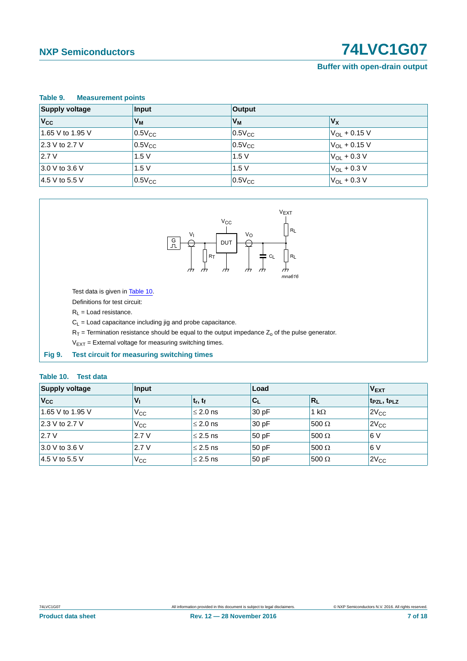# **NXP Semiconductors 12021 12031 1204 1205 1206 1207**

#### **Buffer with open-drain output**

<span id="page-6-1"></span>

| Table 9.<br><b>Measurement points</b> |             |             |                         |  |  |  |
|---------------------------------------|-------------|-------------|-------------------------|--|--|--|
| <b>Supply voltage</b>                 | Input       | Output      |                         |  |  |  |
| $V_{\rm CC}$                          | $V_M$       | $V_M$       | $V_{\rm X}$             |  |  |  |
| 1.65 V to 1.95 V                      | $0.5V_{CC}$ | $0.5V_{CC}$ | $V_{OL}$ + 0.15 V       |  |  |  |
| 2.3 V to 2.7 V                        | $0.5V_{CC}$ | $0.5V_{CC}$ | $V_{\Omega I}$ + 0.15 V |  |  |  |
| 2.7V                                  | 1.5V        | 1.5V        | $V_{OL}$ + 0.3 V        |  |  |  |
| 3.0 V to 3.6 V                        | 1.5V        | 1.5V        | $V_{OL}$ + 0.3 V        |  |  |  |
| 4.5 V to 5.5 V                        | $0.5V_{CC}$ | $0.5V_{CC}$ | $V_{OL}$ + 0.3 V        |  |  |  |



Test data is given in [Table 10.](#page-6-2)

Definitions for test circuit:

 $R_L$  = Load resistance.

 $C_L$  = Load capacitance including jig and probe capacitance.

 $R_T$  = Termination resistance should be equal to the output impedance  $Z_0$  of the pulse generator.

 $V_{EXT}$  = External voltage for measuring switching times.

<span id="page-6-0"></span>**Fig 9. Test circuit for measuring switching times**

#### <span id="page-6-2"></span>**Table 10. Test data**

| <b>Supply voltage</b> | <b>Input</b>    |               | Load  | <b>VEXT</b>  |                      |
|-----------------------|-----------------|---------------|-------|--------------|----------------------|
| $V_{\rm CC}$          | $V_{\parallel}$ | $t_r, t_f$    | $C_L$ | $R_L$        | $ t_{PZL}, t_{PLZ} $ |
| 1.65 V to 1.95 V      | $V_{\rm CC}$    | $\leq 2.0$ ns | 30 pF | 1 k $\Omega$ | $2V_{CC}$            |
| 2.3 V to 2.7 V        | $V_{\rm CC}$    | $\leq 2.0$ ns | 30pF  | $500 \Omega$ | $2V_{CC}$            |
| 2.7V                  | 2.7V            | $\leq$ 2.5 ns | 50 pF | $500 \Omega$ | 6 V                  |
| $3.0 V$ to 3.6 V      | 2.7V            | $\leq$ 2.5 ns | 50pF  | $500 \Omega$ | 6 V                  |
| $14.5$ V to 5.5 V     | Vcc             | $\leq$ 2.5 ns | 50pF  | 500 $\Omega$ | $2V_{CC}$            |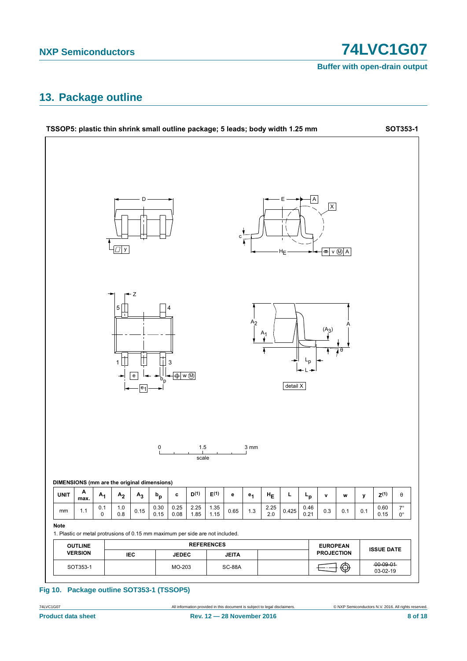**Buffer with open-drain output** 

### <span id="page-7-0"></span>13. Package outline



#### Fig 10. Package outline SOT353-1 (TSSOP5)

74LVC1G07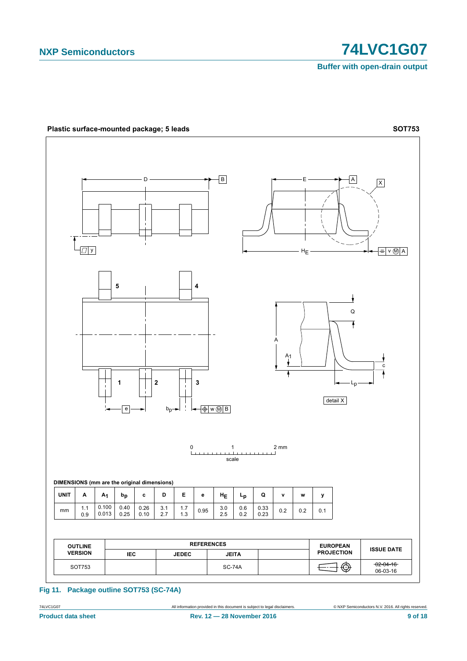**Buffer with open-drain output**



#### **Fig 11. Package outline SOT753 (SC-74A)**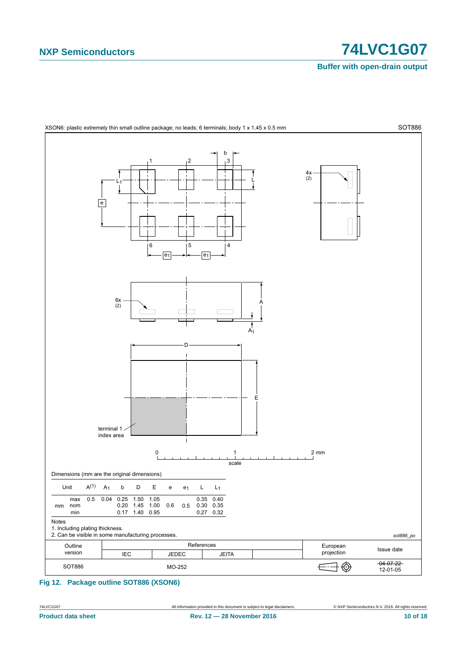**Buffer with open-drain output** 



XSON6: plastic extremely thin small outline package; no leads; 6 terminals; body 1 x 1.45 x 0.5 mm

<span id="page-9-0"></span>Fig 12. Package outline SOT886 (XSON6)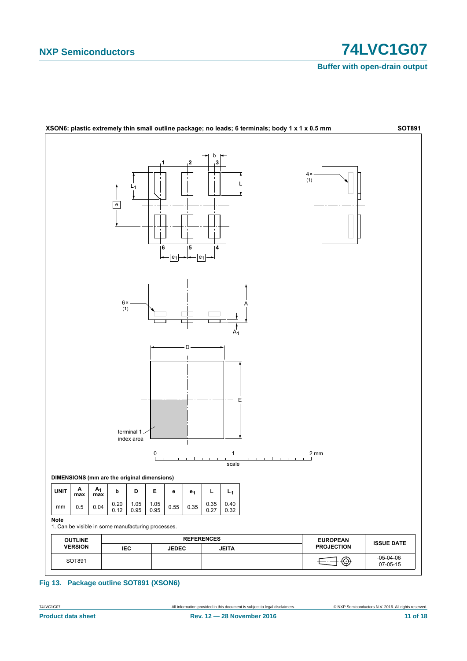**Buffer with open-drain output** 



Fig 13. Package outline SOT891 (XSON6)

74LVC1G07 **Product data sheet**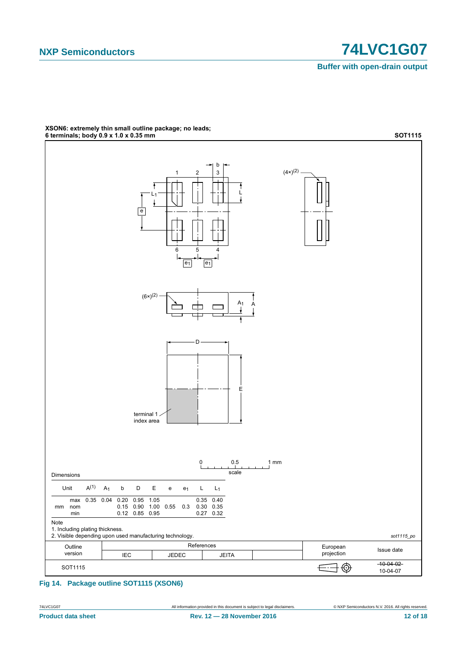**Buffer with open-drain output** 



# XSON6: extremely thin small outline package; no leads;<br>6 terminals; body 0.9 x 1.0 x 0.35 mm

Fig 14. Package outline SOT1115 (XSON6)

74LVC1G07 **Product data sheet** 

12 of 18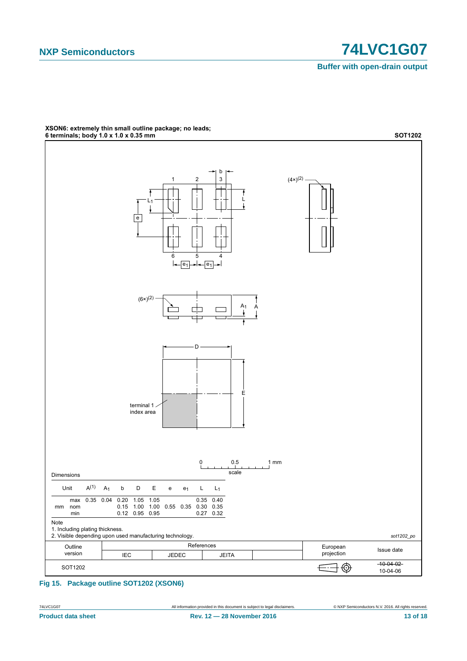**Buffer with open-drain output** 



# XSON6: extremely thin small outline package; no leads;<br>6 terminals; body 1.0 x 1.0 x 0.35 mm

Fig 15. Package outline SOT1202 (XSON6)

74LVC1G07 **Product data sheet**  C NXP Semiconductors N.V. 2016. All rights reserved.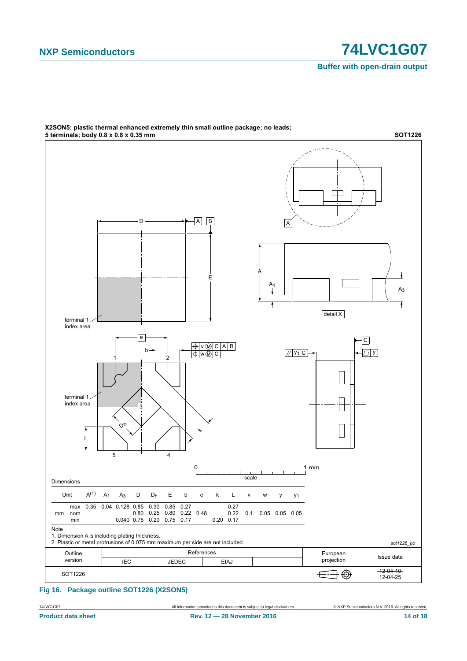**Buffer with open-drain output**



# X2SON5: plastic thermal enhanced extremely thin small outline package; no leads;

**Fig 16. Package outline SOT1226 (X2SON5)**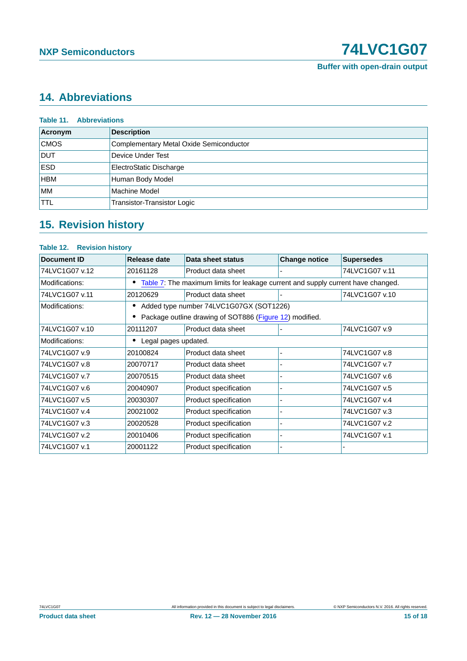# <span id="page-14-0"></span>**14. Abbreviations**

| <b>Table 11. Abbreviations</b> |                                         |  |  |  |  |  |
|--------------------------------|-----------------------------------------|--|--|--|--|--|
| Acronym                        | <b>Description</b>                      |  |  |  |  |  |
| <b>CMOS</b>                    | Complementary Metal Oxide Semiconductor |  |  |  |  |  |
| <b>DUT</b>                     | Device Under Test                       |  |  |  |  |  |
| <b>ESD</b>                     | ElectroStatic Discharge                 |  |  |  |  |  |
| <b>HBM</b>                     | Human Body Model                        |  |  |  |  |  |
| <b>MM</b>                      | Machine Model                           |  |  |  |  |  |
| <b>TTL</b>                     | Transistor-Transistor Logic             |  |  |  |  |  |

# <span id="page-14-1"></span>**15. Revision history**

#### **Table 12. Revision history**

| Document ID    | Release date         | Data sheet status                                                                | <b>Change notice</b> | <b>Supersedes</b> |  |  |  |  |  |
|----------------|----------------------|----------------------------------------------------------------------------------|----------------------|-------------------|--|--|--|--|--|
| 74LVC1G07 v.12 | 20161128             | Product data sheet                                                               |                      | 74LVC1G07 v.11    |  |  |  |  |  |
| Modifications: |                      | Table 7: The maximum limits for leakage current and supply current have changed. |                      |                   |  |  |  |  |  |
| 74LVC1G07 v.11 | 20120629             | Product data sheet                                                               |                      | 74LVC1G07 v.10    |  |  |  |  |  |
| Modifications: |                      | Added type number 74LVC1G07GX (SOT1226)                                          |                      |                   |  |  |  |  |  |
|                |                      | Package outline drawing of SOT886 (Figure 12) modified.                          |                      |                   |  |  |  |  |  |
| 74LVC1G07 v.10 | 20111207             | Product data sheet                                                               |                      | 74LVC1G07 v.9     |  |  |  |  |  |
| Modifications: | Legal pages updated. |                                                                                  |                      |                   |  |  |  |  |  |
| 74LVC1G07 v.9  | 20100824             | Product data sheet                                                               |                      | 74LVC1G07 v.8     |  |  |  |  |  |
| 74LVC1G07 v.8  | 20070717             | Product data sheet                                                               |                      | 74LVC1G07 v.7     |  |  |  |  |  |
| 74LVC1G07 v.7  | 20070515             | Product data sheet                                                               |                      | 74LVC1G07 v.6     |  |  |  |  |  |
| 74LVC1G07 v.6  | 20040907             | Product specification                                                            |                      | 74LVC1G07 v.5     |  |  |  |  |  |
| 74LVC1G07 v.5  | 20030307             | Product specification                                                            |                      | 74LVC1G07 v.4     |  |  |  |  |  |
| 74LVC1G07 v.4  | 20021002             | Product specification                                                            |                      | 74LVC1G07 v.3     |  |  |  |  |  |
| 74LVC1G07 v.3  | 20020528             | Product specification                                                            |                      | 74LVC1G07 v.2     |  |  |  |  |  |
| 74LVC1G07 v.2  | 20010406             | Product specification                                                            |                      | 74LVC1G07 v.1     |  |  |  |  |  |
| 74LVC1G07 v.1  | 20001122             | Product specification                                                            |                      |                   |  |  |  |  |  |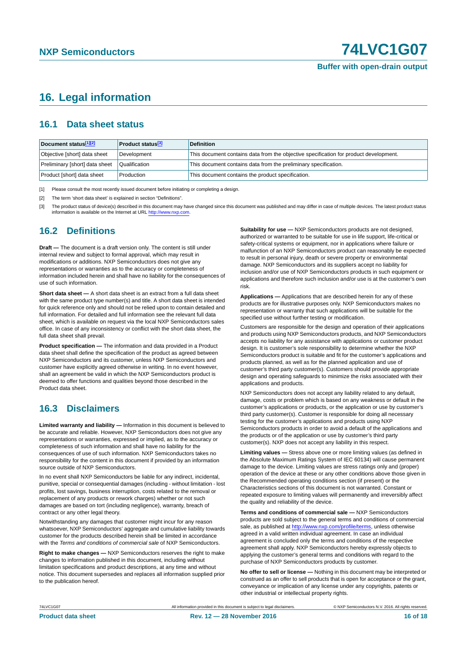### <span id="page-15-3"></span>**16. Legal information**

#### <span id="page-15-4"></span>**16.1 Data sheet status**

| Document status[1][2]          | <b>Product status</b> <sup>[3]</sup> | <b>Definition</b>                                                                     |
|--------------------------------|--------------------------------------|---------------------------------------------------------------------------------------|
| Objective [short] data sheet   | Development                          | This document contains data from the objective specification for product development. |
| Preliminary [short] data sheet | Qualification                        | This document contains data from the preliminary specification.                       |
| Product [short] data sheet     | Production                           | This document contains the product specification.                                     |

<span id="page-15-0"></span>[1] Please consult the most recently issued document before initiating or completing a design.

<span id="page-15-1"></span>[2] The term 'short data sheet' is explained in section "Definitions".

<span id="page-15-2"></span>[3] The product status of device(s) described in this document may have changed since this document was published and may differ in case of multiple devices. The latest product status<br>information is available on the Intern

#### <span id="page-15-5"></span>**16.2 Definitions**

**Draft —** The document is a draft version only. The content is still under internal review and subject to formal approval, which may result in modifications or additions. NXP Semiconductors does not give any representations or warranties as to the accuracy or completeness of information included herein and shall have no liability for the consequences of use of such information.

**Short data sheet —** A short data sheet is an extract from a full data sheet with the same product type number(s) and title. A short data sheet is intended for quick reference only and should not be relied upon to contain detailed and full information. For detailed and full information see the relevant full data sheet, which is available on request via the local NXP Semiconductors sales office. In case of any inconsistency or conflict with the short data sheet, the full data sheet shall prevail.

**Product specification —** The information and data provided in a Product data sheet shall define the specification of the product as agreed between NXP Semiconductors and its customer, unless NXP Semiconductors and customer have explicitly agreed otherwise in writing. In no event however, shall an agreement be valid in which the NXP Semiconductors product is deemed to offer functions and qualities beyond those described in the Product data sheet.

#### <span id="page-15-6"></span>**16.3 Disclaimers**

**Limited warranty and liability —** Information in this document is believed to be accurate and reliable. However, NXP Semiconductors does not give any representations or warranties, expressed or implied, as to the accuracy or completeness of such information and shall have no liability for the consequences of use of such information. NXP Semiconductors takes no responsibility for the content in this document if provided by an information source outside of NXP Semiconductors.

In no event shall NXP Semiconductors be liable for any indirect, incidental, punitive, special or consequential damages (including - without limitation - lost profits, lost savings, business interruption, costs related to the removal or replacement of any products or rework charges) whether or not such damages are based on tort (including negligence), warranty, breach of contract or any other legal theory.

Notwithstanding any damages that customer might incur for any reason whatsoever, NXP Semiconductors' aggregate and cumulative liability towards customer for the products described herein shall be limited in accordance with the *Terms and conditions of commercial sale* of NXP Semiconductors.

**Right to make changes —** NXP Semiconductors reserves the right to make changes to information published in this document, including without limitation specifications and product descriptions, at any time and without notice. This document supersedes and replaces all information supplied prior to the publication hereof.

**Suitability for use —** NXP Semiconductors products are not designed, authorized or warranted to be suitable for use in life support, life-critical or safety-critical systems or equipment, nor in applications where failure or malfunction of an NXP Semiconductors product can reasonably be expected to result in personal injury, death or severe property or environmental damage. NXP Semiconductors and its suppliers accept no liability for inclusion and/or use of NXP Semiconductors products in such equipment or applications and therefore such inclusion and/or use is at the customer's own risk.

**Applications —** Applications that are described herein for any of these products are for illustrative purposes only. NXP Semiconductors makes no representation or warranty that such applications will be suitable for the specified use without further testing or modification.

Customers are responsible for the design and operation of their applications and products using NXP Semiconductors products, and NXP Semiconductors accepts no liability for any assistance with applications or customer product design. It is customer's sole responsibility to determine whether the NXP Semiconductors product is suitable and fit for the customer's applications and products planned, as well as for the planned application and use of customer's third party customer(s). Customers should provide appropriate design and operating safeguards to minimize the risks associated with their applications and products.

NXP Semiconductors does not accept any liability related to any default, damage, costs or problem which is based on any weakness or default in the customer's applications or products, or the application or use by customer's third party customer(s). Customer is responsible for doing all necessary testing for the customer's applications and products using NXP Semiconductors products in order to avoid a default of the applications and the products or of the application or use by customer's third party customer(s). NXP does not accept any liability in this respect.

**Limiting values —** Stress above one or more limiting values (as defined in the Absolute Maximum Ratings System of IEC 60134) will cause permanent damage to the device. Limiting values are stress ratings only and (proper) operation of the device at these or any other conditions above those given in the Recommended operating conditions section (if present) or the Characteristics sections of this document is not warranted. Constant or repeated exposure to limiting values will permanently and irreversibly affect the quality and reliability of the device.

**Terms and conditions of commercial sale —** NXP Semiconductors products are sold subject to the general terms and conditions of commercial sale, as published at<http://www.nxp.com/profile/terms>, unless otherwise agreed in a valid written individual agreement. In case an individual agreement is concluded only the terms and conditions of the respective agreement shall apply. NXP Semiconductors hereby expressly objects to applying the customer's general terms and conditions with regard to the purchase of NXP Semiconductors products by customer.

**No offer to sell or license —** Nothing in this document may be interpreted or construed as an offer to sell products that is open for acceptance or the grant, conveyance or implication of any license under any copyrights, patents or other industrial or intellectual property rights.

74LVC1G07 All information provided in this document is subject to legal disclaimers. © NXP Semiconductors N.V. 2016. All rights reserved.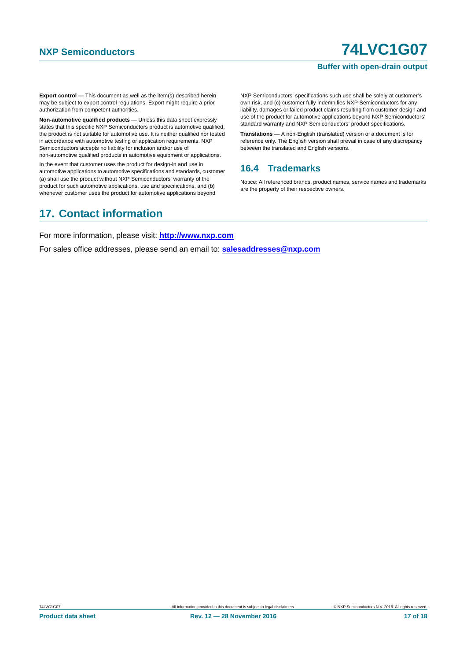#### **Buffer with open-drain output**

**Export control —** This document as well as the item(s) described herein may be subject to export control regulations. Export might require a prior authorization from competent authorities.

**Non-automotive qualified products —** Unless this data sheet expressly states that this specific NXP Semiconductors product is automotive qualified, the product is not suitable for automotive use. It is neither qualified nor tested in accordance with automotive testing or application requirements. NXP Semiconductors accepts no liability for inclusion and/or use of non-automotive qualified products in automotive equipment or applications.

In the event that customer uses the product for design-in and use in automotive applications to automotive specifications and standards, customer (a) shall use the product without NXP Semiconductors' warranty of the product for such automotive applications, use and specifications, and (b) whenever customer uses the product for automotive applications beyond

NXP Semiconductors' specifications such use shall be solely at customer's own risk, and (c) customer fully indemnifies NXP Semiconductors for any liability, damages or failed product claims resulting from customer design and use of the product for automotive applications beyond NXP Semiconductors' standard warranty and NXP Semiconductors' product specifications.

**Translations —** A non-English (translated) version of a document is for reference only. The English version shall prevail in case of any discrepancy between the translated and English versions.

#### <span id="page-16-0"></span>**16.4 Trademarks**

Notice: All referenced brands, product names, service names and trademarks are the property of their respective owners.

### <span id="page-16-1"></span>**17. Contact information**

For more information, please visit: **http://www.nxp.com**

For sales office addresses, please send an email to: **salesaddresses@nxp.com**